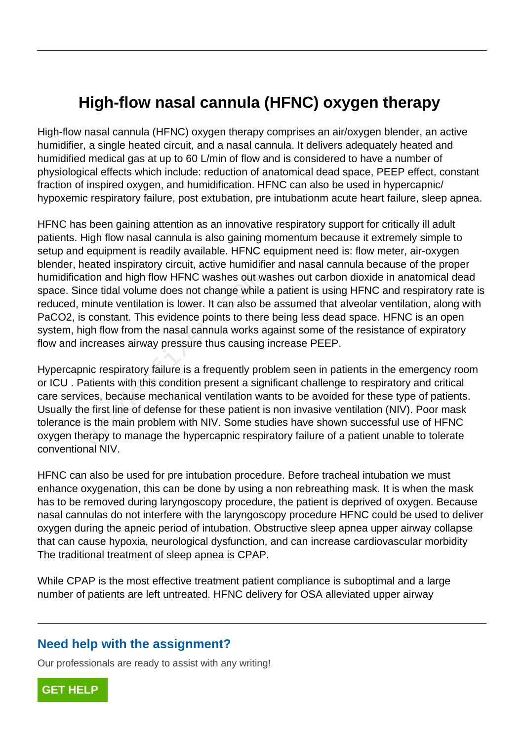## **High-flow nasal cannula (HFNC) oxygen therapy**

High-flow nasal cannula (HFNC) oxygen therapy comprises an air/oxygen blender, an active humidifier, a single heated circuit, and a nasal cannula. It delivers adequately heated and humidified medical gas at up to 60 L/min of flow and is considered to have a number of physiological effects which include: reduction of anatomical dead space, PEEP effect, constant fraction of inspired oxygen, and humidification. HFNC can also be used in hypercapnic/ hypoxemic respiratory failure, post extubation, pre intubationm acute heart failure, sleep apnea.

HFNC has been gaining attention as an innovative respiratory support for critically ill adult patients. High flow nasal cannula is also gaining momentum because it extremely simple to setup and equipment is readily available. HFNC equipment need is: flow meter, air-oxygen blender, heated inspiratory circuit, active humidifier and nasal cannula because of the proper humidification and high flow HFNC washes out washes out carbon dioxide in anatomical dead space. Since tidal volume does not change while a patient is using HFNC and respiratory rate is reduced, minute ventilation is lower. It can also be assumed that alveolar ventilation, along with PaCO2, is constant. This evidence points to there being less dead space. HFNC is an open system, high flow from the nasal cannula works against some of the resistance of expiratory flow and increases airway pressure thus causing increase PEEP.

Hypercapnic respiratory failure is a frequently problem seen in patients in the emergency room or ICU . Patients with this condition present a significant challenge to respiratory and critical care services, because mechanical ventilation wants to be avoided for these type of patients. Usually the first line of defense for these patient is non invasive ventilation (NIV). Poor mask tolerance is the main problem with NIV. Some studies have shown successful use of HFNC oxygen therapy to manage the hypercapnic respiratory failure of a patient unable to tolerate conventional NIV. tion and high flow HFNC washes out w<br>ce tidal volume does not change while<br>ninute ventilation is lower. It can also b<br>constant. This evidence points to there<br>gh flow from the nasal cannula works a<br>ncreases airway pressure

HFNC can also be used for pre intubation procedure. Before tracheal intubation we must enhance oxygenation, this can be done by using a non rebreathing mask. It is when the mask has to be removed during laryngoscopy procedure, the patient is deprived of oxygen. Because nasal cannulas do not interfere with the laryngoscopy procedure HFNC could be used to deliver oxygen during the apneic period of intubation. Obstructive sleep apnea upper airway collapse that can cause hypoxia, neurological dysfunction, and can increase cardiovascular morbidity The traditional treatment of sleep apnea is CPAP.

While CPAP is the most effective treatment patient compliance is suboptimal and a large number of patients are left untreated. HFNC delivery for OSA alleviated upper airway

## **Need help with the assignment?**

Our professionals are ready to assist with any writing!